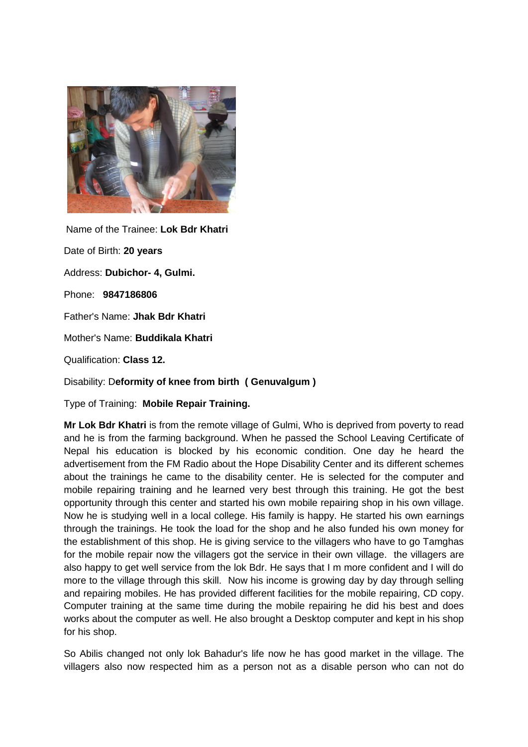

Name of the Trainee: **Lok Bdr Khatri** Date of Birth: **20 years** Address: **Dubichor- 4, Gulmi.** Phone: **9847186806** Father's Name: **Jhak Bdr Khatri** Mother's Name: **Buddikala Khatri** Qualification: **Class 12.**

Disability: D**eformity of knee from birth ( Genuvalgum )**

Type of Training: **Mobile Repair Training.**

**Mr Lok Bdr Khatri** is from the remote village of Gulmi, Who is deprived from poverty to read and he is from the farming background. When he passed the School Leaving Certificate of Nepal his education is blocked by his economic condition. One day he heard the advertisement from the FM Radio about the Hope Disability Center and its different schemes about the trainings he came to the disability center. He is selected for the computer and mobile repairing training and he learned very best through this training. He got the best opportunity through this center and started his own mobile repairing shop in his own village. Now he is studying well in a local college. His family is happy. He started his own earnings through the trainings. He took the load for the shop and he also funded his own money for the establishment of this shop. He is giving service to the villagers who have to go Tamghas for the mobile repair now the villagers got the service in their own village. the villagers are also happy to get well service from the lok Bdr. He says that I m more confident and I will do more to the village through this skill. Now his income is growing day by day through selling and repairing mobiles. He has provided different facilities for the mobile repairing, CD copy. Computer training at the same time during the mobile repairing he did his best and does works about the computer as well. He also brought a Desktop computer and kept in his shop for his shop.

So Abilis changed not only lok Bahadur's life now he has good market in the village. The villagers also now respected him as a person not as a disable person who can not do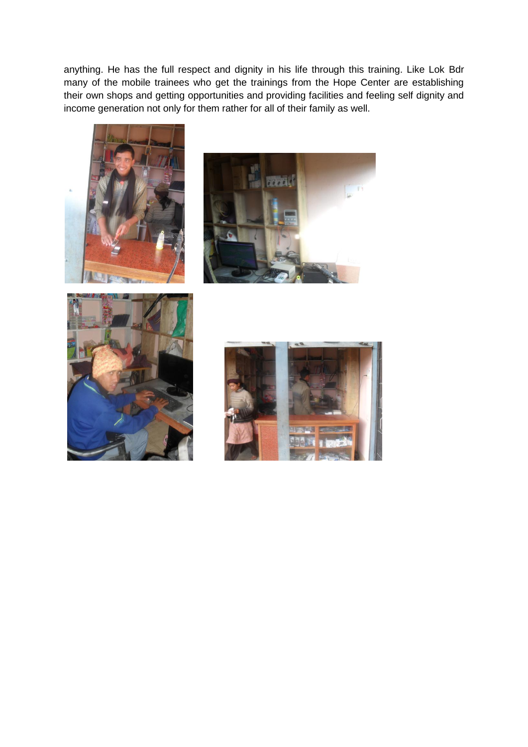anything. He has the full respect and dignity in his life through this training. Like Lok Bdr many of the mobile trainees who get the trainings from the Hope Center are establishing their own shops and getting opportunities and providing facilities and feeling self dignity and income generation not only for them rather for all of their family as well.







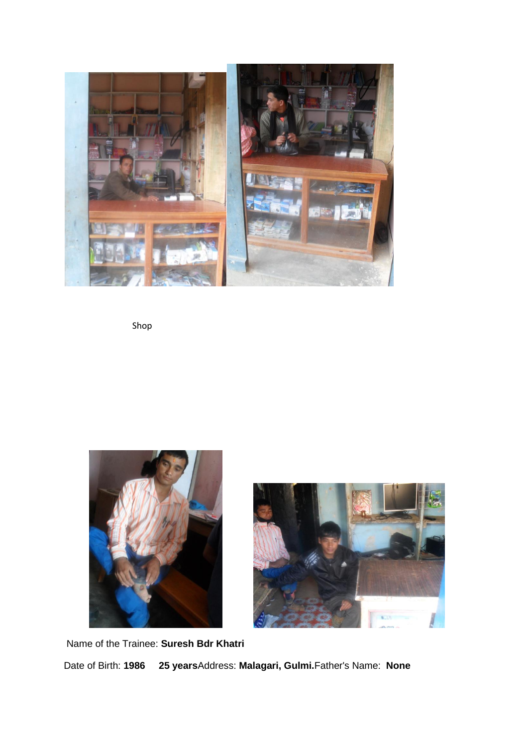

Shop





Name of the Trainee: **Suresh Bdr Khatri** Date of Birth: **1986 25 years**Address: **Malagari, Gulmi.**Father's Name: **None**